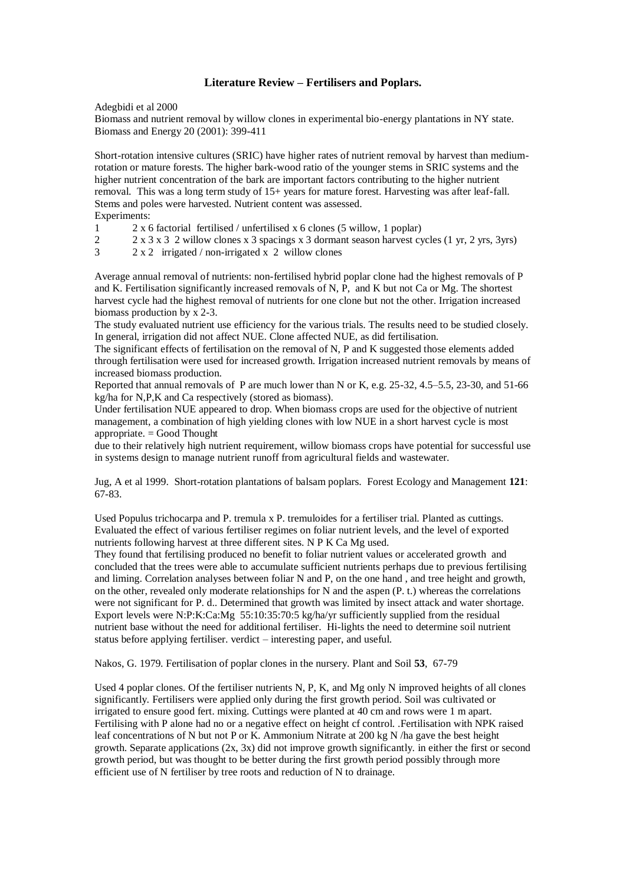## **Literature Review – Fertilisers and Poplars.**

Adegbidi et al 2000

Biomass and nutrient removal by willow clones in experimental bio-energy plantations in NY state. Biomass and Energy 20 (2001): 399-411

Short-rotation intensive cultures (SRIC) have higher rates of nutrient removal by harvest than mediumrotation or mature forests. The higher bark-wood ratio of the younger stems in SRIC systems and the higher nutrient concentration of the bark are important factors contributing to the higher nutrient removal. This was a long term study of 15+ years for mature forest. Harvesting was after leaf-fall. Stems and poles were harvested. Nutrient content was assessed. Experiments:

- 1 2 x 6 factorial fertilised / unfertilised x 6 clones (5 willow, 1 poplar)
- 2 2 x 3 x 3 2 willow clones x 3 spacings x 3 dormant season harvest cycles (1 yr, 2 yrs, 3yrs)
- $3 \times 2 \times 2$  irrigated / non-irrigated x 2 willow clones

Average annual removal of nutrients: non-fertilised hybrid poplar clone had the highest removals of P and K. Fertilisation significantly increased removals of N, P, and K but not Ca or Mg. The shortest harvest cycle had the highest removal of nutrients for one clone but not the other. Irrigation increased biomass production by x 2-3.

The study evaluated nutrient use efficiency for the various trials. The results need to be studied closely. In general, irrigation did not affect NUE. Clone affected NUE, as did fertilisation.

The significant effects of fertilisation on the removal of N, P and K suggested those elements added through fertilisation were used for increased growth. Irrigation increased nutrient removals by means of increased biomass production.

Reported that annual removals of P are much lower than N or K, e.g. 25-32, 4.5–5.5, 23-30, and 51-66 kg/ha for N,P,K and Ca respectively (stored as biomass).

Under fertilisation NUE appeared to drop. When biomass crops are used for the objective of nutrient management, a combination of high yielding clones with low NUE in a short harvest cycle is most appropriate.  $=$  Good Thought

due to their relatively high nutrient requirement, willow biomass crops have potential for successful use in systems design to manage nutrient runoff from agricultural fields and wastewater.

Jug, A et al 1999. Short-rotation plantations of balsam poplars. Forest Ecology and Management **121**: 67-83.

Used Populus trichocarpa and P. tremula x P. tremuloides for a fertiliser trial. Planted as cuttings. Evaluated the effect of various fertiliser regimes on foliar nutrient levels, and the level of exported nutrients following harvest at three different sites. N P K Ca Mg used.

They found that fertilising produced no benefit to foliar nutrient values or accelerated growth and concluded that the trees were able to accumulate sufficient nutrients perhaps due to previous fertilising and liming. Correlation analyses between foliar N and P, on the one hand , and tree height and growth, on the other, revealed only moderate relationships for N and the aspen (P. t.) whereas the correlations were not significant for P. d.. Determined that growth was limited by insect attack and water shortage. Export levels were N:P:K:Ca:Mg 55:10:35:70:5 kg/ha/yr sufficiently supplied from the residual nutrient base without the need for additional fertiliser. Hi-lights the need to determine soil nutrient status before applying fertiliser. verdict – interesting paper, and useful.

Nakos, G. 1979. Fertilisation of poplar clones in the nursery. Plant and Soil **53**, 67-79

Used 4 poplar clones. Of the fertiliser nutrients N, P, K, and Mg only N improved heights of all clones significantly. Fertilisers were applied only during the first growth period. Soil was cultivated or irrigated to ensure good fert. mixing. Cuttings were planted at 40 cm and rows were 1 m apart. Fertilising with P alone had no or a negative effect on height cf control. .Fertilisation with NPK raised leaf concentrations of N but not P or K. Ammonium Nitrate at 200 kg N /ha gave the best height growth. Separate applications  $(2x, 3x)$  did not improve growth significantly. in either the first or second growth period, but was thought to be better during the first growth period possibly through more efficient use of N fertiliser by tree roots and reduction of N to drainage.